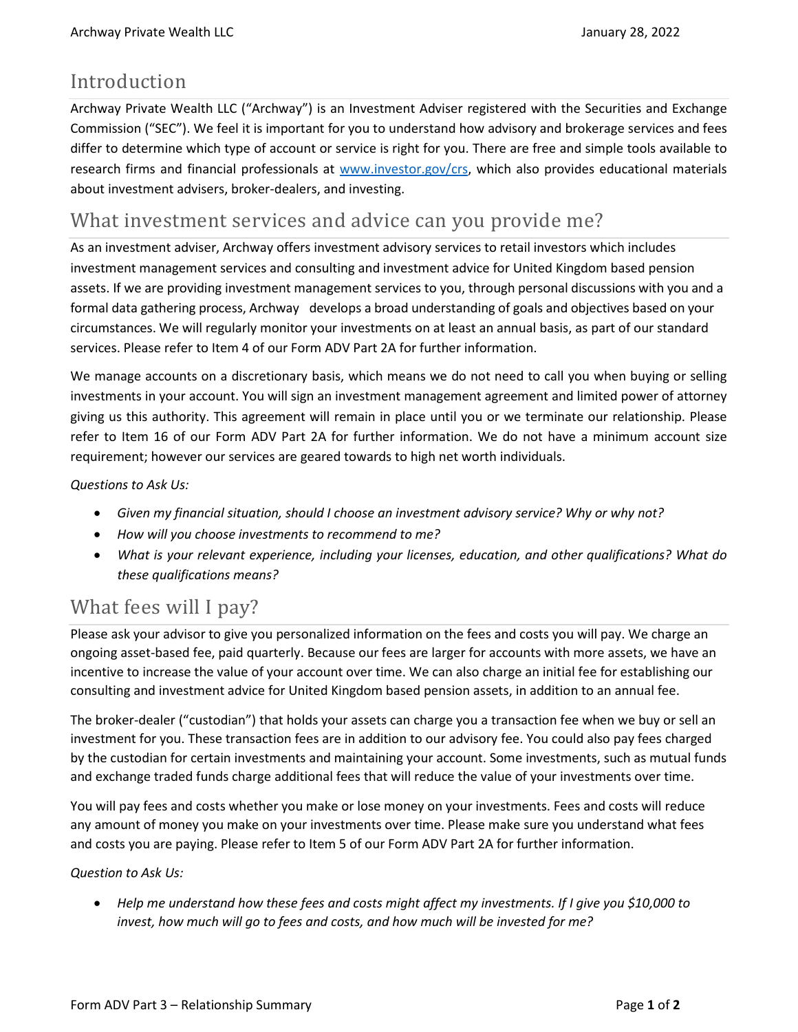## Introduction

Archway Private Wealth LLC ("Archway") is an Investment Adviser registered with the Securities and Exchange Commission ("SEC"). We feel it is important for you to understand how advisory and brokerage services and fees differ to determine which type of account or service is right for you. There are free and simple tools available to research firms and financial professionals at [www.investor.gov/crs,](http://www.investor.gov/crs) which also provides educational materials about investment advisers, broker-dealers, and investing.

## What investment services and advice can you provide me?

As an investment adviser, Archway offers investment advisory services to retail investors which includes investment management services and consulting and investment advice for United Kingdom based pension assets. If we are providing investment management services to you, through personal discussions with you and a formal data gathering process, Archway develops a broad understanding of goals and objectives based on your circumstances. We will regularly monitor your investments on at least an annual basis, as part of our standard services. Please refer to Item 4 of our Form ADV Part 2A for further information.

We manage accounts on a discretionary basis, which means we do not need to call you when buying or selling investments in your account. You will sign an investment management agreement and limited power of attorney giving us this authority. This agreement will remain in place until you or we terminate our relationship. Please refer to Item 16 of our Form ADV Part 2A for further information. We do not have a minimum account size requirement; however our services are geared towards to high net worth individuals.

*Questions to Ask Us:*

- *Given my financial situation, should I choose an investment advisory service? Why or why not?*
- *How will you choose investments to recommend to me?*
- *What is your relevant experience, including your licenses, education, and other qualifications? What do these qualifications means?*

# What fees will I pay?

Please ask your advisor to give you personalized information on the fees and costs you will pay. We charge an ongoing asset-based fee, paid quarterly. Because our fees are larger for accounts with more assets, we have an incentive to increase the value of your account over time. We can also charge an initial fee for establishing our consulting and investment advice for United Kingdom based pension assets, in addition to an annual fee.

The broker-dealer ("custodian") that holds your assets can charge you a transaction fee when we buy or sell an investment for you. These transaction fees are in addition to our advisory fee. You could also pay fees charged by the custodian for certain investments and maintaining your account. Some investments, such as mutual funds and exchange traded funds charge additional fees that will reduce the value of your investments over time.

You will pay fees and costs whether you make or lose money on your investments. Fees and costs will reduce any amount of money you make on your investments over time. Please make sure you understand what fees and costs you are paying. Please refer to Item 5 of our Form ADV Part 2A for further information.

#### *Question to Ask Us:*

• *Help me understand how these fees and costs might affect my investments. If I give you \$10,000 to invest, how much will go to fees and costs, and how much will be invested for me?*